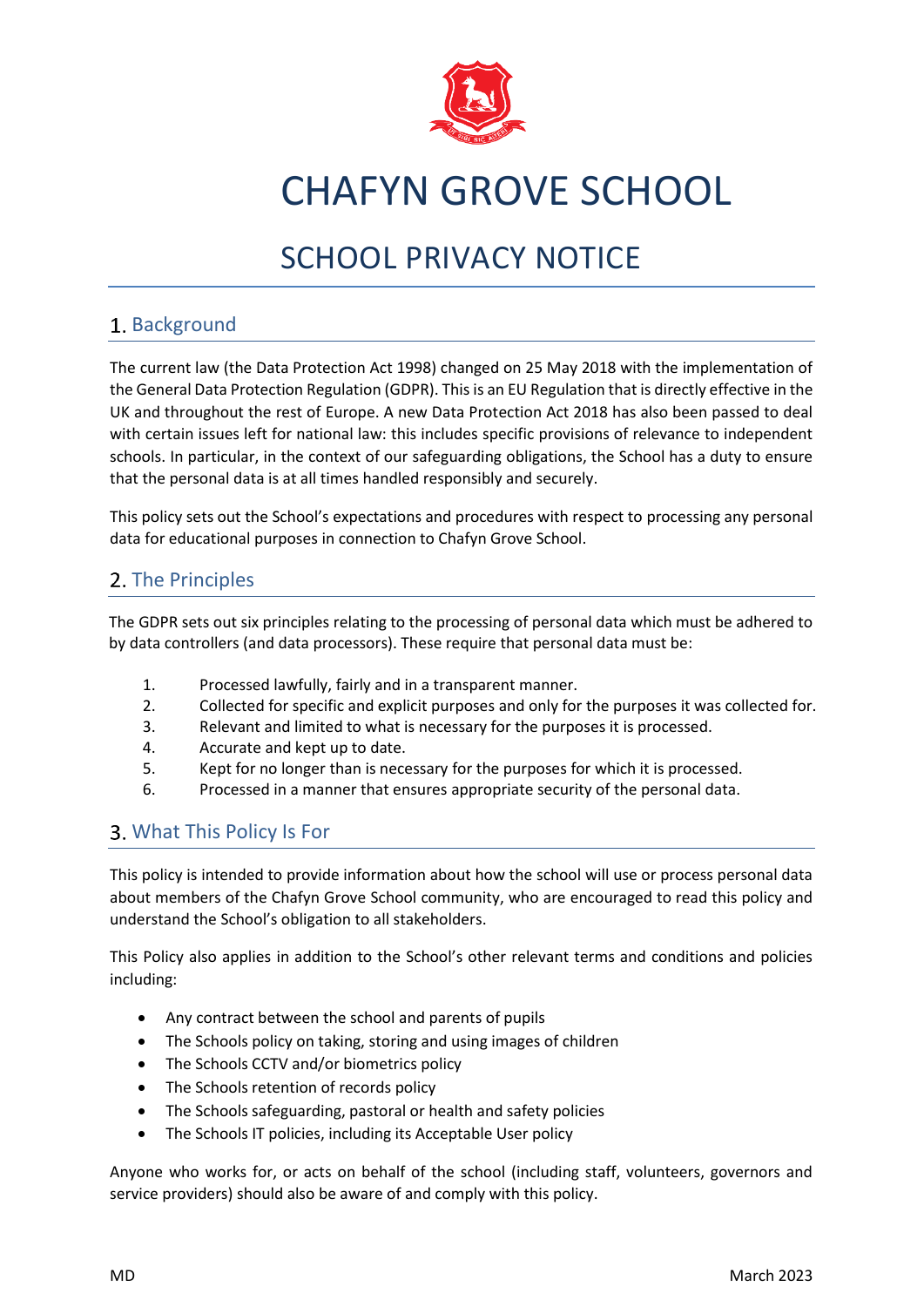

# CHAFYN GROVE SCHOOL

# SCHOOL PRIVACY NOTICE

#### 1. Background

The current law (the Data Protection Act 1998) changed on 25 May 2018 with the implementation of the General Data Protection Regulation (GDPR). This is an EU Regulation that is directly effective in the UK and throughout the rest of Europe. A new Data Protection Act 2018 has also been passed to deal with certain issues left for national law: this includes specific provisions of relevance to independent schools. In particular, in the context of our safeguarding obligations, the School has a duty to ensure that the personal data is at all times handled responsibly and securely.

This policy sets out the School's expectations and procedures with respect to processing any personal data for educational purposes in connection to Chafyn Grove School.

#### 2. The Principles

The GDPR sets out six principles relating to the processing of personal data which must be adhered to by data controllers (and data processors). These require that personal data must be:

- 1. Processed lawfully, fairly and in a transparent manner.
- 2. Collected for specific and explicit purposes and only for the purposes it was collected for.
- 3. Relevant and limited to what is necessary for the purposes it is processed.
- 4. Accurate and kept up to date.
- 5. Kept for no longer than is necessary for the purposes for which it is processed.
- 6. Processed in a manner that ensures appropriate security of the personal data.

#### What This Policy Is For

This policy is intended to provide information about how the school will use or process personal data about members of the Chafyn Grove School community, who are encouraged to read this policy and understand the School's obligation to all stakeholders.

This Policy also applies in addition to the School's other relevant terms and conditions and policies including:

- Any contract between the school and parents of pupils
- The Schools policy on taking, storing and using images of children
- The Schools CCTV and/or biometrics policy
- The Schools retention of records policy
- The Schools safeguarding, pastoral or health and safety policies
- The Schools IT policies, including its Acceptable User policy

Anyone who works for, or acts on behalf of the school (including staff, volunteers, governors and service providers) should also be aware of and comply with this policy.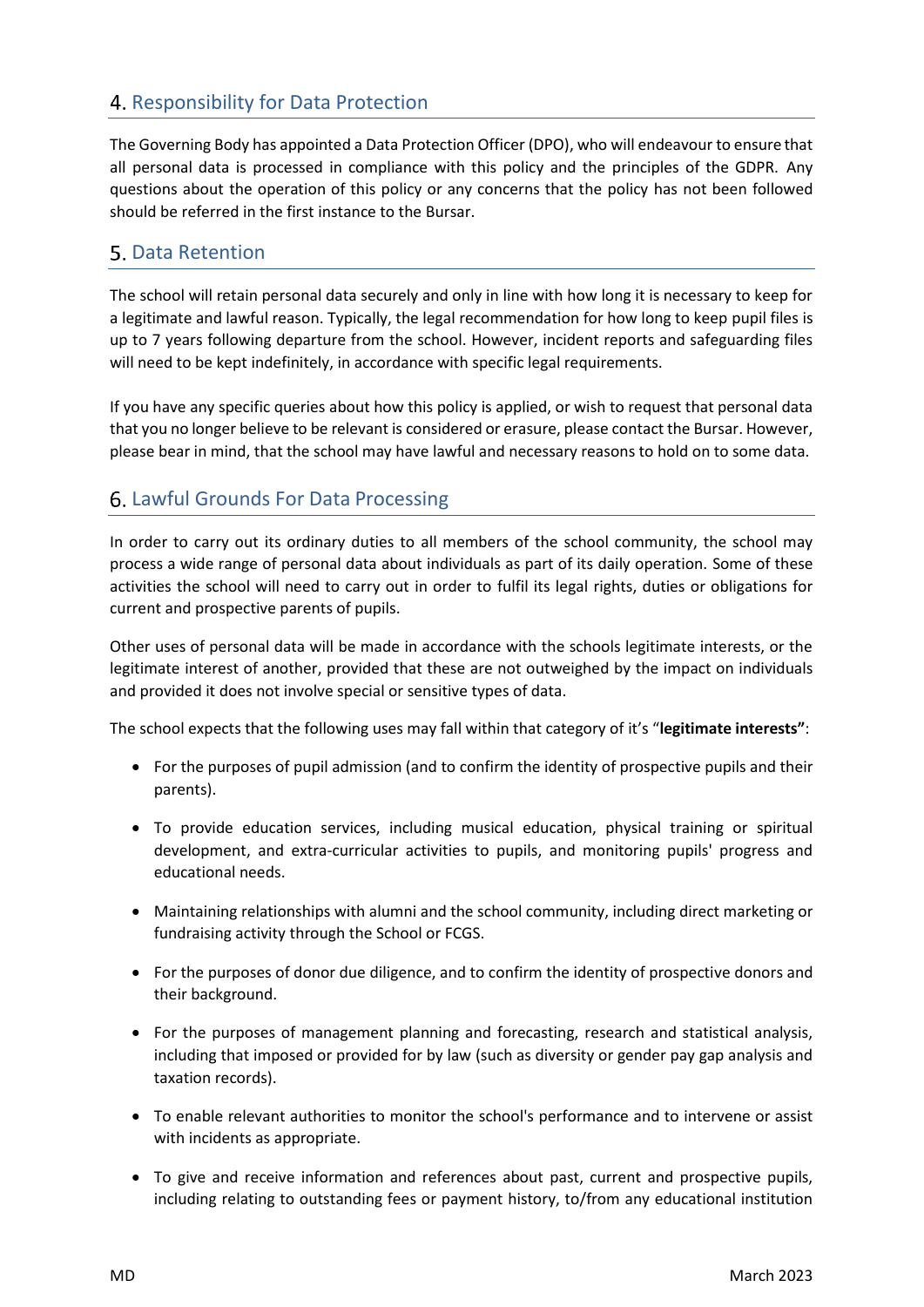## 4. Responsibility for Data Protection

The Governing Body has appointed a Data Protection Officer (DPO), who will endeavour to ensure that all personal data is processed in compliance with this policy and the principles of the GDPR. Any questions about the operation of this policy or any concerns that the policy has not been followed should be referred in the first instance to the Bursar.

#### **5. Data Retention**

The school will retain personal data securely and only in line with how long it is necessary to keep for a legitimate and lawful reason. Typically, the legal recommendation for how long to keep pupil files is up to 7 years following departure from the school. However, incident reports and safeguarding files will need to be kept indefinitely, in accordance with specific legal requirements.

If you have any specific queries about how this policy is applied, or wish to request that personal data that you no longer believe to be relevant is considered or erasure, please contact the Bursar. However, please bear in mind, that the school may have lawful and necessary reasons to hold on to some data.

#### **6. Lawful Grounds For Data Processing**

In order to carry out its ordinary duties to all members of the school community, the school may process a wide range of personal data about individuals as part of its daily operation. Some of these activities the school will need to carry out in order to fulfil its legal rights, duties or obligations for current and prospective parents of pupils.

Other uses of personal data will be made in accordance with the schools legitimate interests, or the legitimate interest of another, provided that these are not outweighed by the impact on individuals and provided it does not involve special or sensitive types of data.

The school expects that the following uses may fall within that category of it's "**legitimate interests"**:

- For the purposes of pupil admission (and to confirm the identity of prospective pupils and their parents).
- To provide education services, including musical education, physical training or spiritual development, and extra-curricular activities to pupils, and monitoring pupils' progress and educational needs.
- Maintaining relationships with alumni and the school community, including direct marketing or fundraising activity through the School or FCGS.
- For the purposes of donor due diligence, and to confirm the identity of prospective donors and their background.
- For the purposes of management planning and forecasting, research and statistical analysis, including that imposed or provided for by law (such as diversity or gender pay gap analysis and taxation records).
- To enable relevant authorities to monitor the school's performance and to intervene or assist with incidents as appropriate.
- To give and receive information and references about past, current and prospective pupils, including relating to outstanding fees or payment history, to/from any educational institution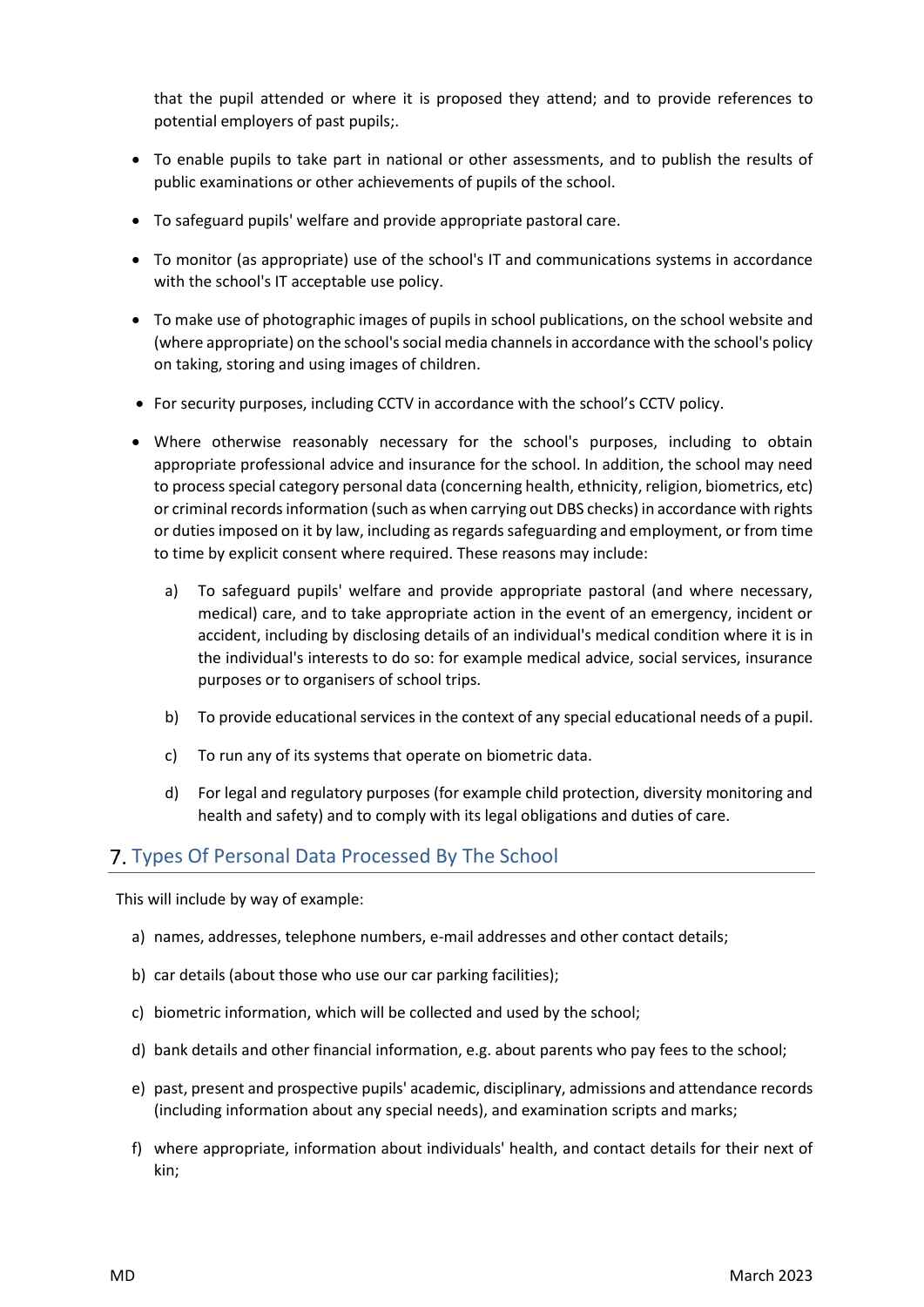that the pupil attended or where it is proposed they attend; and to provide references to potential employers of past pupils;.

- To enable pupils to take part in national or other assessments, and to publish the results of public examinations or other achievements of pupils of the school.
- To safeguard pupils' welfare and provide appropriate pastoral care.
- To monitor (as appropriate) use of the school's IT and communications systems in accordance with the school's IT acceptable use policy.
- To make use of photographic images of pupils in school publications, on the school website and (where appropriate) on the school's social media channels in accordance with the school's policy on taking, storing and using images of children.
- For security purposes, including CCTV in accordance with the school's CCTV policy.
- Where otherwise reasonably necessary for the school's purposes, including to obtain appropriate professional advice and insurance for the school. In addition, the school may need to process special category personal data (concerning health, ethnicity, religion, biometrics, etc) or criminal records information (such as when carrying out DBS checks) in accordance with rights or duties imposed on it by law, including as regards safeguarding and employment, or from time to time by explicit consent where required. These reasons may include:
	- a) To safeguard pupils' welfare and provide appropriate pastoral (and where necessary, medical) care, and to take appropriate action in the event of an emergency, incident or accident, including by disclosing details of an individual's medical condition where it is in the individual's interests to do so: for example medical advice, social services, insurance purposes or to organisers of school trips.
	- b) To provide educational services in the context of any special educational needs of a pupil.
	- c) To run any of its systems that operate on biometric data.
	- d) For legal and regulatory purposes (for example child protection, diversity monitoring and health and safety) and to comply with its legal obligations and duties of care.

#### Types Of Personal Data Processed By The School

This will include by way of example:

- a) names, addresses, telephone numbers, e-mail addresses and other contact details;
- b) car details (about those who use our car parking facilities);
- c) biometric information, which will be collected and used by the school;
- d) bank details and other financial information, e.g. about parents who pay fees to the school;
- e) past, present and prospective pupils' academic, disciplinary, admissions and attendance records (including information about any special needs), and examination scripts and marks;
- f) where appropriate, information about individuals' health, and contact details for their next of kin;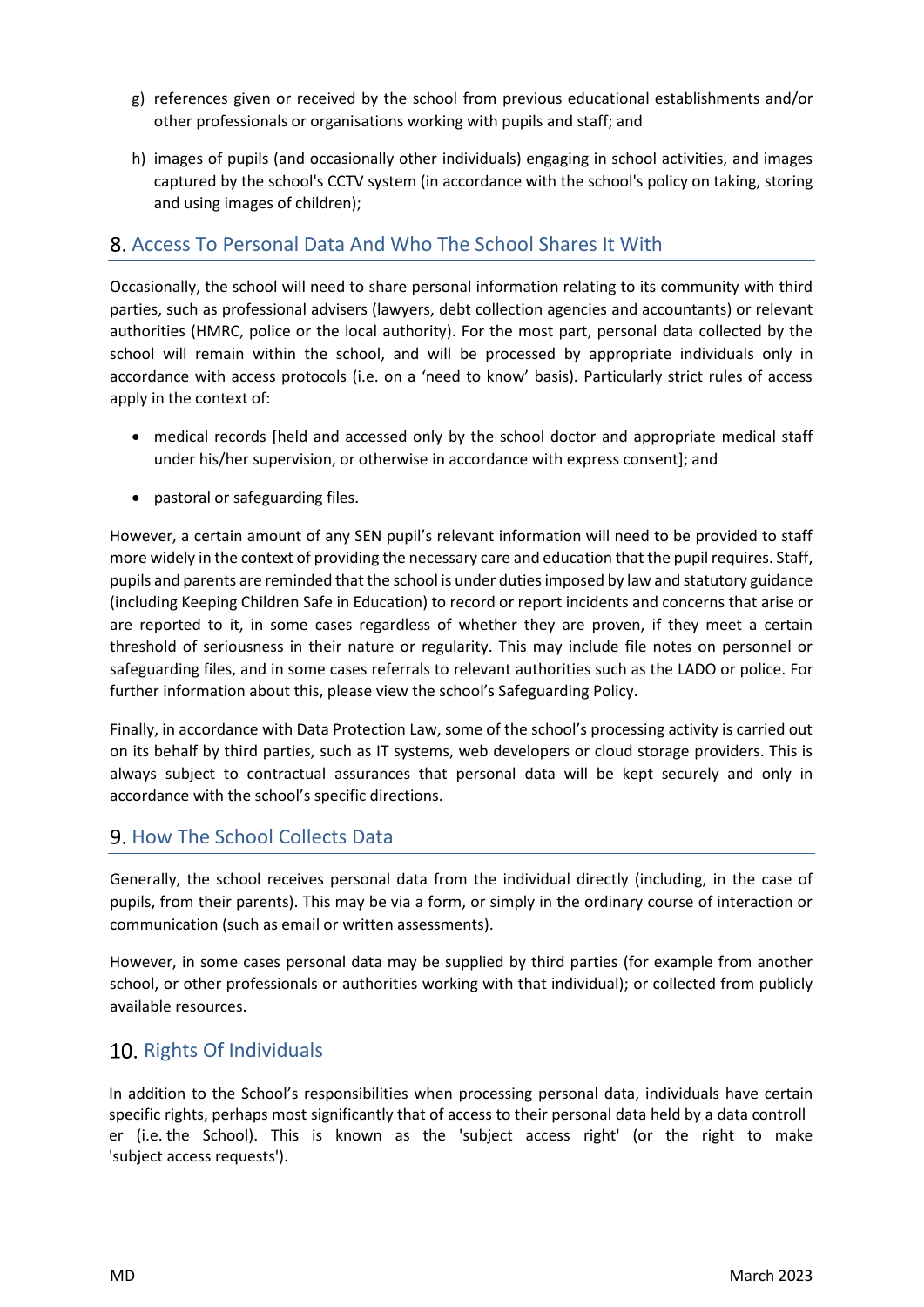- g) references given or received by the school from previous educational establishments and/or other professionals or organisations working with pupils and staff; and
- h) images of pupils (and occasionally other individuals) engaging in school activities, and images captured by the school's CCTV system (in accordance with the school's policy on taking, storing and using images of children);

#### Access To Personal Data And Who The School Shares It With

Occasionally, the school will need to share personal information relating to its community with third parties, such as professional advisers (lawyers, debt collection agencies and accountants) or relevant authorities (HMRC, police or the local authority). For the most part, personal data collected by the school will remain within the school, and will be processed by appropriate individuals only in accordance with access protocols (i.e. on a 'need to know' basis). Particularly strict rules of access apply in the context of:

- medical records [held and accessed only by the school doctor and appropriate medical staff under his/her supervision, or otherwise in accordance with express consent]; and
- pastoral or safeguarding files.

However, a certain amount of any SEN pupil's relevant information will need to be provided to staff more widely in the context of providing the necessary care and education that the pupil requires. Staff, pupils and parents are reminded that the school is under duties imposed by law and statutory guidance (including Keeping Children Safe in Education) to record or report incidents and concerns that arise or are reported to it, in some cases regardless of whether they are proven, if they meet a certain threshold of seriousness in their nature or regularity. This may include file notes on personnel or safeguarding files, and in some cases referrals to relevant authorities such as the LADO or police. For further information about this, please view the school's Safeguarding Policy.

Finally, in accordance with Data Protection Law, some of the school's processing activity is carried out on its behalf by third parties, such as IT systems, web developers or cloud storage providers. This is always subject to contractual assurances that personal data will be kept securely and only in accordance with the school's specific directions.

#### **9. How The School Collects Data**

Generally, the school receives personal data from the individual directly (including, in the case of pupils, from their parents). This may be via a form, or simply in the ordinary course of interaction or communication (such as email or written assessments).

However, in some cases personal data may be supplied by third parties (for example from another school, or other professionals or authorities working with that individual); or collected from publicly available resources.

#### 10. Rights Of Individuals

In addition to the School's responsibilities when processing personal data, individuals have certain specific rights, perhaps most significantly that of access to their personal data held by a data controll er (i.e. the School). This is known as the 'subject access right' (or the right to make 'subject access requests').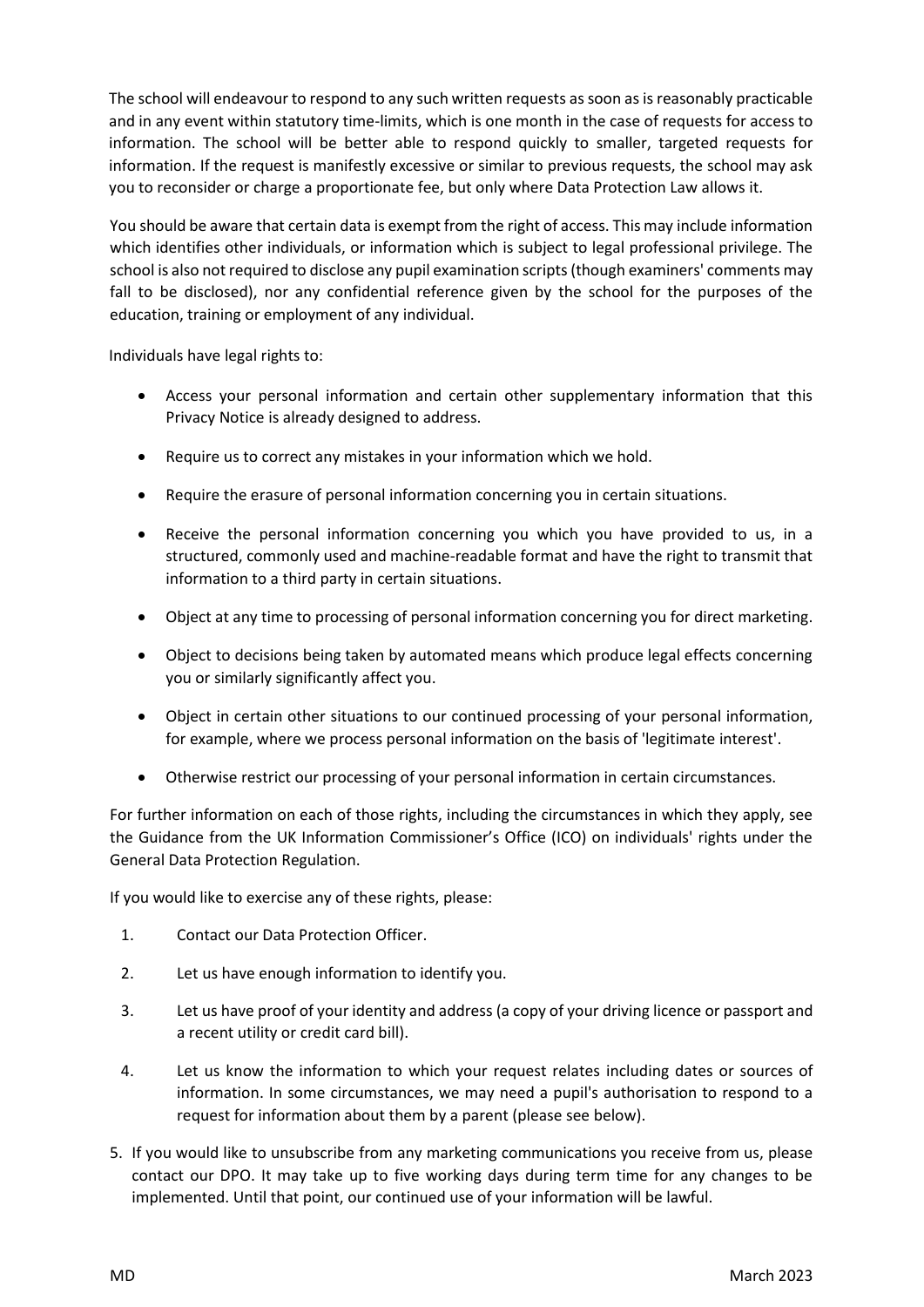The school will endeavour to respond to any such written requests as soon as is reasonably practicable and in any event within statutory time-limits, which is one month in the case of requests for access to information. The school will be better able to respond quickly to smaller, targeted requests for information. If the request is manifestly excessive or similar to previous requests, the school may ask you to reconsider or charge a proportionate fee, but only where Data Protection Law allows it.

You should be aware that certain data is exempt from the right of access. This may include information which identifies other individuals, or information which is subject to legal professional privilege. The school is also not required to disclose any pupil examination scripts (though examiners' comments may fall to be disclosed), nor any confidential reference given by the school for the purposes of the education, training or employment of any individual.

Individuals have legal rights to:

- Access your personal information and certain other supplementary information that this Privacy Notice is already designed to address.
- Require us to correct any mistakes in your information which we hold.
- Require the erasure of personal information concerning you in certain situations.
- Receive the personal information concerning you which you have provided to us, in a structured, commonly used and machine-readable format and have the right to transmit that information to a third party in certain situations.
- Object at any time to processing of personal information concerning you for direct marketing.
- Object to decisions being taken by automated means which produce legal effects concerning you or similarly significantly affect you.
- Object in certain other situations to our continued processing of your personal information, for example, where we process personal information on the basis of 'legitimate interest'.
- Otherwise restrict our processing of your personal information in certain circumstances.

For further information on each of those rights, including the circumstances in which they apply, see the Guidance from the UK Information Commissioner's Office (ICO) on individuals' rights under the General Data Protection Regulation.

If you would like to exercise any of these rights, please:

- 1. Contact our Data Protection Officer.
- 2. Let us have enough information to identify you.
- 3. Let us have proof of your identity and address (a copy of your driving licence or passport and a recent utility or credit card bill).
- 4. Let us know the information to which your request relates including dates or sources of information. In some circumstances, we may need a pupil's authorisation to respond to a request for information about them by a parent (please see below).
- 5. If you would like to unsubscribe from any marketing communications you receive from us, please contact our DPO. It may take up to five working days during term time for any changes to be implemented. Until that point, our continued use of your information will be lawful.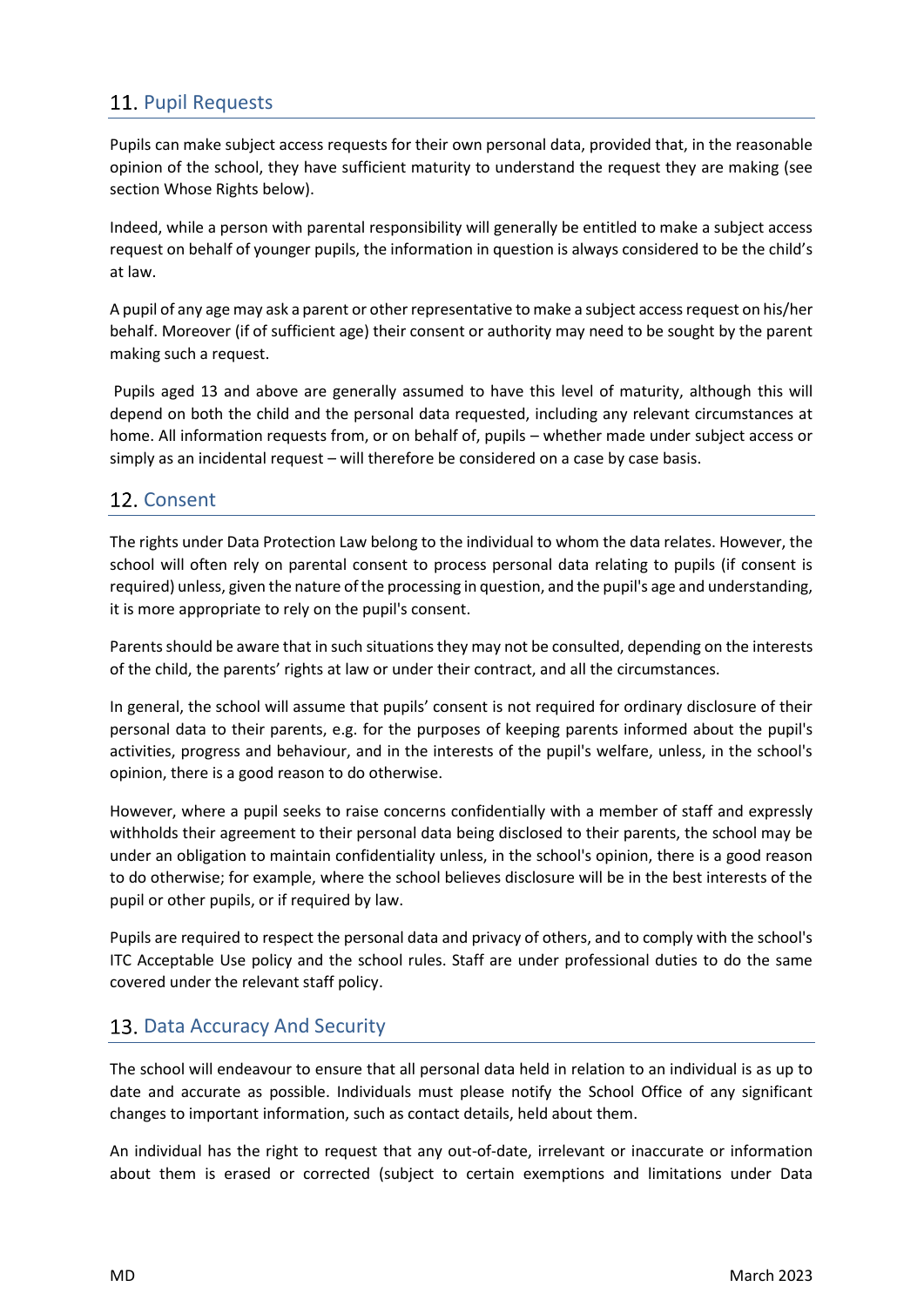## 11. Pupil Requests

Pupils can make subject access requests for their own personal data, provided that, in the reasonable opinion of the school, they have sufficient maturity to understand the request they are making (see section Whose Rights below).

Indeed, while a person with parental responsibility will generally be entitled to make a subject access request on behalf of younger pupils, the information in question is always considered to be the child's at law.

A pupil of any age may ask a parent or other representative to make a subject access request on his/her behalf. Moreover (if of sufficient age) their consent or authority may need to be sought by the parent making such a request.

Pupils aged 13 and above are generally assumed to have this level of maturity, although this will depend on both the child and the personal data requested, including any relevant circumstances at home. All information requests from, or on behalf of, pupils – whether made under subject access or simply as an incidental request – will therefore be considered on a case by case basis.

#### 12. Consent

The rights under Data Protection Law belong to the individual to whom the data relates. However, the school will often rely on parental consent to process personal data relating to pupils (if consent is required) unless, given the nature of the processing in question, and the pupil's age and understanding, it is more appropriate to rely on the pupil's consent.

Parents should be aware that in such situations they may not be consulted, depending on the interests of the child, the parents' rights at law or under their contract, and all the circumstances.

In general, the school will assume that pupils' consent is not required for ordinary disclosure of their personal data to their parents, e.g. for the purposes of keeping parents informed about the pupil's activities, progress and behaviour, and in the interests of the pupil's welfare, unless, in the school's opinion, there is a good reason to do otherwise.

However, where a pupil seeks to raise concerns confidentially with a member of staff and expressly withholds their agreement to their personal data being disclosed to their parents, the school may be under an obligation to maintain confidentiality unless, in the school's opinion, there is a good reason to do otherwise; for example, where the school believes disclosure will be in the best interests of the pupil or other pupils, or if required by law.

Pupils are required to respect the personal data and privacy of others, and to comply with the school's ITC Acceptable Use policy and the school rules. Staff are under professional duties to do the same covered under the relevant staff policy.

#### 13. Data Accuracy And Security

The school will endeavour to ensure that all personal data held in relation to an individual is as up to date and accurate as possible. Individuals must please notify the School Office of any significant changes to important information, such as contact details, held about them.

An individual has the right to request that any out-of-date, irrelevant or inaccurate or information about them is erased or corrected (subject to certain exemptions and limitations under Data